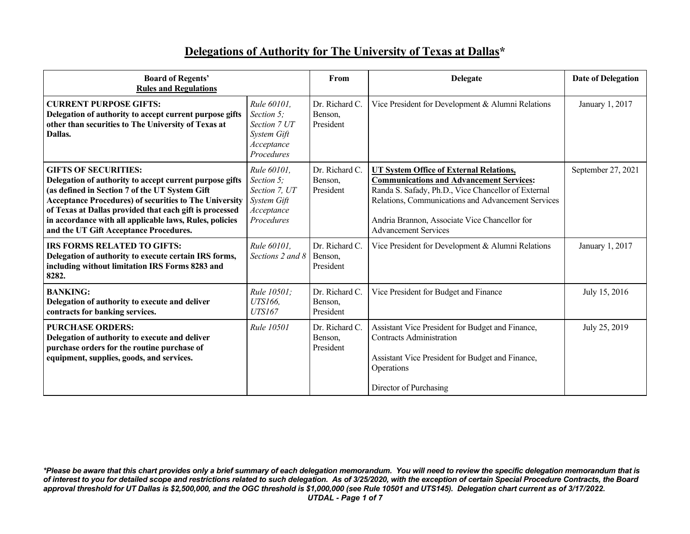## **Delegations of Authority for The University of Texas at Dallas\***

| <b>Board of Regents'</b><br><b>Rules and Regulations</b>                                                                                                                                                                                                                                                                                                                  |                                                                                       | From                                   | <b>Delegate</b>                                                                                                                                                                                                                                                                                | <b>Date of Delegation</b> |
|---------------------------------------------------------------------------------------------------------------------------------------------------------------------------------------------------------------------------------------------------------------------------------------------------------------------------------------------------------------------------|---------------------------------------------------------------------------------------|----------------------------------------|------------------------------------------------------------------------------------------------------------------------------------------------------------------------------------------------------------------------------------------------------------------------------------------------|---------------------------|
| <b>CURRENT PURPOSE GIFTS:</b><br>Delegation of authority to accept current purpose gifts<br>other than securities to The University of Texas at<br>Dallas.                                                                                                                                                                                                                | Rule 60101.<br>Section 5;<br>Section 7 UT<br>System Gift<br>Acceptance<br>Procedures  | Dr. Richard C.<br>Benson,<br>President | Vice President for Development & Alumni Relations                                                                                                                                                                                                                                              | January 1, 2017           |
| <b>GIFTS OF SECURITIES:</b><br>Delegation of authority to accept current purpose gifts<br>(as defined in Section 7 of the UT System Gift<br><b>Acceptance Procedures) of securities to The University</b><br>of Texas at Dallas provided that each gift is processed<br>in accordance with all applicable laws, Rules, policies<br>and the UT Gift Acceptance Procedures. | Rule 60101.<br>Section 5;<br>Section 7, UT<br>System Gift<br>Acceptance<br>Procedures | Dr. Richard C.<br>Benson,<br>President | <b>UT System Office of External Relations,</b><br><b>Communications and Advancement Services:</b><br>Randa S. Safady, Ph.D., Vice Chancellor of External<br>Relations, Communications and Advancement Services<br>Andria Brannon, Associate Vice Chancellor for<br><b>Advancement Services</b> | September 27, 2021        |
| <b>IRS FORMS RELATED TO GIFTS:</b><br>Delegation of authority to execute certain IRS forms,<br>including without limitation IRS Forms 8283 and<br>8282.                                                                                                                                                                                                                   | Rule 60101,<br>Sections 2 and 8                                                       | Dr. Richard C.<br>Benson,<br>President | Vice President for Development & Alumni Relations                                                                                                                                                                                                                                              | January 1, 2017           |
| <b>BANKING:</b><br>Delegation of authority to execute and deliver<br>contracts for banking services.                                                                                                                                                                                                                                                                      | <i>Rule 10501:</i><br>UTS166,<br><b>UTS167</b>                                        | Dr. Richard C.<br>Benson,<br>President | Vice President for Budget and Finance                                                                                                                                                                                                                                                          | July 15, 2016             |
| <b>PURCHASE ORDERS:</b><br>Delegation of authority to execute and deliver<br>purchase orders for the routine purchase of<br>equipment, supplies, goods, and services.                                                                                                                                                                                                     | <i>Rule</i> 10501                                                                     | Dr. Richard C.<br>Benson,<br>President | Assistant Vice President for Budget and Finance,<br><b>Contracts Administration</b><br>Assistant Vice President for Budget and Finance,<br>Operations<br>Director of Purchasing                                                                                                                | July 25, 2019             |

*\*Please be aware that this chart provides only a brief summary of each delegation memorandum. You will need to review the specific delegation memorandum that is of interest to you for detailed scope and restrictions related to such delegation. As of 3/25/2020, with the exception of certain Special Procedure Contracts, the Board approval threshold for UT Dallas is \$2,500,000, and the OGC threshold is \$1,000,000 (see Rule 10501 and UTS145). Delegation chart current as of 3/17/2022. UTDAL - Page 1 of 7*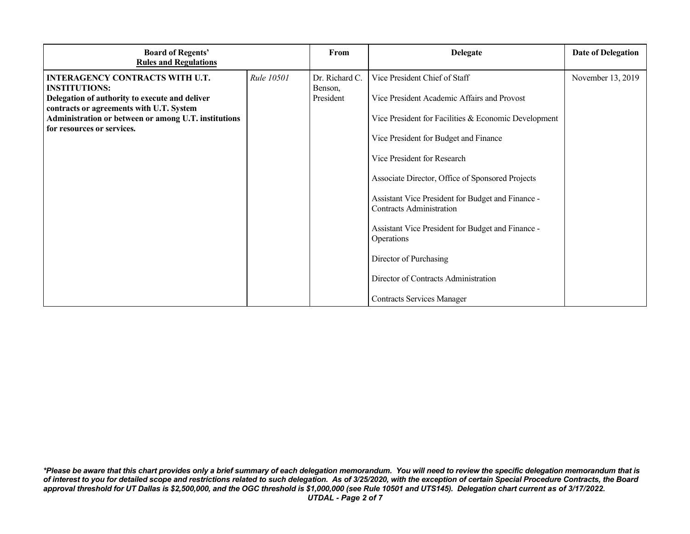| <b>Board of Regents'</b><br><b>Rules and Regulations</b>                                   |                   | From                      | <b>Delegate</b>                                                                      | <b>Date of Delegation</b> |
|--------------------------------------------------------------------------------------------|-------------------|---------------------------|--------------------------------------------------------------------------------------|---------------------------|
| <b>INTERAGENCY CONTRACTS WITH U.T.</b><br><b>INSTITUTIONS:</b>                             | <b>Rule 10501</b> | Dr. Richard C.<br>Benson, | Vice President Chief of Staff                                                        | November 13, 2019         |
| Delegation of authority to execute and deliver<br>contracts or agreements with U.T. System |                   | President                 | Vice President Academic Affairs and Provost                                          |                           |
| Administration or between or among U.T. institutions<br>for resources or services.         |                   |                           | Vice President for Facilities & Economic Development                                 |                           |
|                                                                                            |                   |                           | Vice President for Budget and Finance                                                |                           |
|                                                                                            |                   |                           | Vice President for Research                                                          |                           |
|                                                                                            |                   |                           | Associate Director, Office of Sponsored Projects                                     |                           |
|                                                                                            |                   |                           | Assistant Vice President for Budget and Finance -<br><b>Contracts Administration</b> |                           |
|                                                                                            |                   |                           | Assistant Vice President for Budget and Finance -<br>Operations                      |                           |
|                                                                                            |                   |                           | Director of Purchasing                                                               |                           |
|                                                                                            |                   |                           | Director of Contracts Administration                                                 |                           |
|                                                                                            |                   |                           | <b>Contracts Services Manager</b>                                                    |                           |

*\*Please be aware that this chart provides only a brief summary of each delegation memorandum. You will need to review the specific delegation memorandum that is of interest to you for detailed scope and restrictions related to such delegation. As of 3/25/2020, with the exception of certain Special Procedure Contracts, the Board approval threshold for UT Dallas is \$2,500,000, and the OGC threshold is \$1,000,000 (see Rule 10501 and UTS145). Delegation chart current as of 3/17/2022. UTDAL - Page 2 of 7*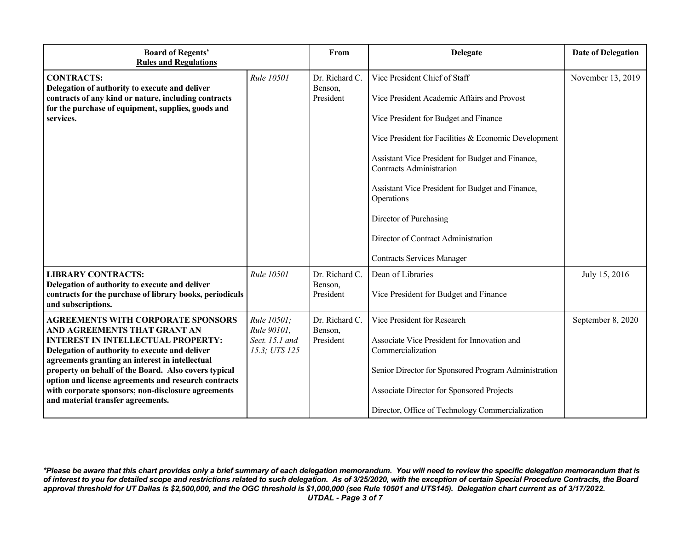| <b>Board of Regents'</b><br><b>Rules and Regulations</b>                                                                                                                                                                                                                                                                                                                                                                               |                                                               | From                                   | <b>Delegate</b>                                                                                                                                                                                                                                                                                                                                                                                                                              | <b>Date of Delegation</b> |
|----------------------------------------------------------------------------------------------------------------------------------------------------------------------------------------------------------------------------------------------------------------------------------------------------------------------------------------------------------------------------------------------------------------------------------------|---------------------------------------------------------------|----------------------------------------|----------------------------------------------------------------------------------------------------------------------------------------------------------------------------------------------------------------------------------------------------------------------------------------------------------------------------------------------------------------------------------------------------------------------------------------------|---------------------------|
| <b>CONTRACTS:</b><br>Delegation of authority to execute and deliver<br>contracts of any kind or nature, including contracts<br>for the purchase of equipment, supplies, goods and<br>services.                                                                                                                                                                                                                                         | Rule 10501                                                    | Dr. Richard C.<br>Benson,<br>President | Vice President Chief of Staff<br>Vice President Academic Affairs and Provost<br>Vice President for Budget and Finance<br>Vice President for Facilities & Economic Development<br>Assistant Vice President for Budget and Finance,<br><b>Contracts Administration</b><br>Assistant Vice President for Budget and Finance,<br>Operations<br>Director of Purchasing<br>Director of Contract Administration<br><b>Contracts Services Manager</b> | November 13, 2019         |
| <b>LIBRARY CONTRACTS:</b><br>Delegation of authority to execute and deliver<br>contracts for the purchase of library books, periodicals<br>and subscriptions.                                                                                                                                                                                                                                                                          | Rule 10501                                                    | Dr. Richard C.<br>Benson,<br>President | Dean of Libraries<br>Vice President for Budget and Finance                                                                                                                                                                                                                                                                                                                                                                                   | July 15, 2016             |
| <b>AGREEMENTS WITH CORPORATE SPONSORS</b><br>AND AGREEMENTS THAT GRANT AN<br><b>INTEREST IN INTELLECTUAL PROPERTY:</b><br>Delegation of authority to execute and deliver<br>agreements granting an interest in intellectual<br>property on behalf of the Board. Also covers typical<br>option and license agreements and research contracts<br>with corporate sponsors; non-disclosure agreements<br>and material transfer agreements. | Rule 10501;<br>Rule 90101,<br>Sect. 15.1 and<br>15.3; UTS 125 | Dr. Richard C.<br>Benson,<br>President | Vice President for Research<br>Associate Vice President for Innovation and<br>Commercialization<br>Senior Director for Sponsored Program Administration<br>Associate Director for Sponsored Projects<br>Director, Office of Technology Commercialization                                                                                                                                                                                     | September 8, 2020         |

*\*Please be aware that this chart provides only a brief summary of each delegation memorandum. You will need to review the specific delegation memorandum that is of interest to you for detailed scope and restrictions related to such delegation. As of 3/25/2020, with the exception of certain Special Procedure Contracts, the Board approval threshold for UT Dallas is \$2,500,000, and the OGC threshold is \$1,000,000 (see Rule 10501 and UTS145). Delegation chart current as of 3/17/2022. UTDAL - Page 3 of 7*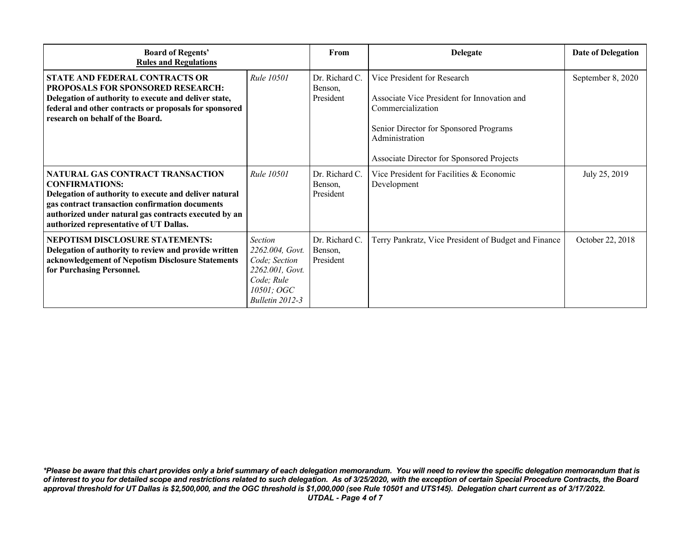| <b>Board of Regents'</b><br><b>Rules and Regulations</b>                                                                                                                                                                                                                   |                                                                                                                      | From                                   | <b>Delegate</b>                                                                                                                                                                                          | <b>Date of Delegation</b> |
|----------------------------------------------------------------------------------------------------------------------------------------------------------------------------------------------------------------------------------------------------------------------------|----------------------------------------------------------------------------------------------------------------------|----------------------------------------|----------------------------------------------------------------------------------------------------------------------------------------------------------------------------------------------------------|---------------------------|
| STATE AND FEDERAL CONTRACTS OR<br><b>PROPOSALS FOR SPONSORED RESEARCH:</b><br>Delegation of authority to execute and deliver state,<br>federal and other contracts or proposals for sponsored<br>research on behalf of the Board.                                          | Rule 10501                                                                                                           | Dr. Richard C.<br>Benson,<br>President | Vice President for Research<br>Associate Vice President for Innovation and<br>Commercialization<br>Senior Director for Sponsored Programs<br>Administration<br>Associate Director for Sponsored Projects | September 8, 2020         |
| NATURAL GAS CONTRACT TRANSACTION<br><b>CONFIRMATIONS:</b><br>Delegation of authority to execute and deliver natural<br>gas contract transaction confirmation documents<br>authorized under natural gas contracts executed by an<br>authorized representative of UT Dallas. | <b>Rule 10501</b>                                                                                                    | Dr. Richard C.<br>Benson,<br>President | Vice President for Facilities & Economic<br>Development                                                                                                                                                  | July 25, 2019             |
| NEPOTISM DISCLOSURE STATEMENTS:<br>Delegation of authority to review and provide written<br>acknowledgement of Nepotism Disclosure Statements<br>for Purchasing Personnel.                                                                                                 | <b>Section</b><br>2262.004, Govt.<br>Code; Section<br>2262.001, Govt.<br>Code; Rule<br>10501; OGC<br>Bulletin 2012-3 | Dr. Richard C.<br>Benson,<br>President | Terry Pankratz, Vice President of Budget and Finance                                                                                                                                                     | October 22, 2018          |

*\*Please be aware that this chart provides only a brief summary of each delegation memorandum. You will need to review the specific delegation memorandum that is of interest to you for detailed scope and restrictions related to such delegation. As of 3/25/2020, with the exception of certain Special Procedure Contracts, the Board approval threshold for UT Dallas is \$2,500,000, and the OGC threshold is \$1,000,000 (see Rule 10501 and UTS145). Delegation chart current as of 3/17/2022. UTDAL - Page 4 of 7*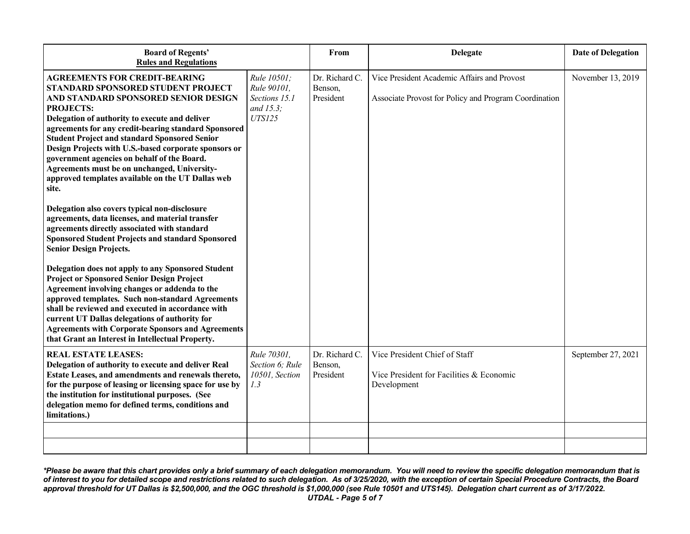| <b>Board of Regents'</b><br><b>Rules and Regulations</b>                                                                                                                                                                                                                                                                                                                                                                                                                                                                       |                                                                           | From                                   | <b>Delegate</b>                                                                                      | <b>Date of Delegation</b> |
|--------------------------------------------------------------------------------------------------------------------------------------------------------------------------------------------------------------------------------------------------------------------------------------------------------------------------------------------------------------------------------------------------------------------------------------------------------------------------------------------------------------------------------|---------------------------------------------------------------------------|----------------------------------------|------------------------------------------------------------------------------------------------------|---------------------------|
| <b>AGREEMENTS FOR CREDIT-BEARING</b><br>STANDARD SPONSORED STUDENT PROJECT<br>AND STANDARD SPONSORED SENIOR DESIGN<br><b>PROJECTS:</b><br>Delegation of authority to execute and deliver<br>agreements for any credit-bearing standard Sponsored<br><b>Student Project and standard Sponsored Senior</b><br>Design Projects with U.S.-based corporate sponsors or<br>government agencies on behalf of the Board.<br>Agreements must be on unchanged, University-<br>approved templates available on the UT Dallas web<br>site. | Rule 10501:<br>Rule 90101,<br>Sections 15.1<br>and 15.3;<br><b>UTS125</b> | Dr. Richard C.<br>Benson,<br>President | Vice President Academic Affairs and Provost<br>Associate Provost for Policy and Program Coordination | November 13, 2019         |
| Delegation also covers typical non-disclosure<br>agreements, data licenses, and material transfer<br>agreements directly associated with standard<br><b>Sponsored Student Projects and standard Sponsored</b><br><b>Senior Design Projects.</b>                                                                                                                                                                                                                                                                                |                                                                           |                                        |                                                                                                      |                           |
| Delegation does not apply to any Sponsored Student<br><b>Project or Sponsored Senior Design Project</b><br>Agreement involving changes or addenda to the<br>approved templates. Such non-standard Agreements<br>shall be reviewed and executed in accordance with<br>current UT Dallas delegations of authority for<br><b>Agreements with Corporate Sponsors and Agreements</b><br>that Grant an Interest in Intellectual Property.                                                                                            |                                                                           |                                        |                                                                                                      |                           |
| <b>REAL ESTATE LEASES:</b><br>Delegation of authority to execute and deliver Real<br>Estate Leases, and amendments and renewals thereto,<br>for the purpose of leasing or licensing space for use by<br>the institution for institutional purposes. (See<br>delegation memo for defined terms, conditions and<br>limitations.)                                                                                                                                                                                                 | Rule 70301,<br>Section 6; Rule<br>10501, Section<br>1.3                   | Dr. Richard C.<br>Benson,<br>President | Vice President Chief of Staff<br>Vice President for Facilities & Economic<br>Development             | September 27, 2021        |
|                                                                                                                                                                                                                                                                                                                                                                                                                                                                                                                                |                                                                           |                                        |                                                                                                      |                           |

*\*Please be aware that this chart provides only a brief summary of each delegation memorandum. You will need to review the specific delegation memorandum that is of interest to you for detailed scope and restrictions related to such delegation. As of 3/25/2020, with the exception of certain Special Procedure Contracts, the Board approval threshold for UT Dallas is \$2,500,000, and the OGC threshold is \$1,000,000 (see Rule 10501 and UTS145). Delegation chart current as of 3/17/2022. UTDAL - Page 5 of 7*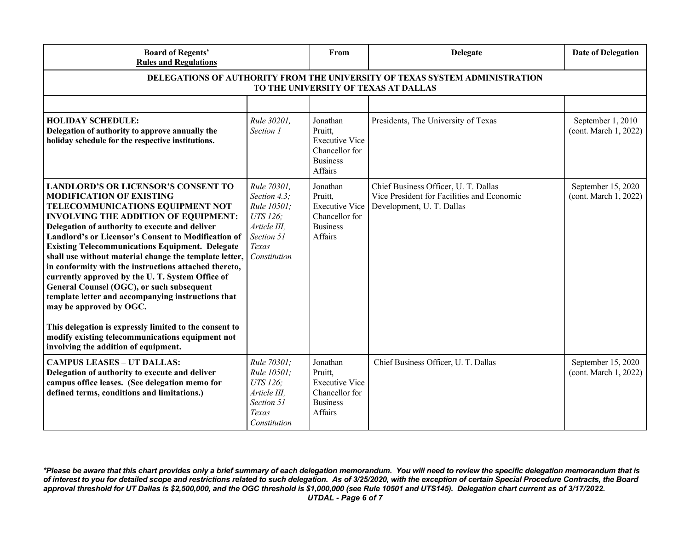| <b>Board of Regents'</b><br><b>Rules and Regulations</b>                                                                                                                                                                                                                                                                                                                                                                                                                                                                                                                                                                                                                                                                                                                                      |                                                                                                               | From                                                                                         | <b>Delegate</b>                                                                                                 | <b>Date of Delegation</b>                   |  |
|-----------------------------------------------------------------------------------------------------------------------------------------------------------------------------------------------------------------------------------------------------------------------------------------------------------------------------------------------------------------------------------------------------------------------------------------------------------------------------------------------------------------------------------------------------------------------------------------------------------------------------------------------------------------------------------------------------------------------------------------------------------------------------------------------|---------------------------------------------------------------------------------------------------------------|----------------------------------------------------------------------------------------------|-----------------------------------------------------------------------------------------------------------------|---------------------------------------------|--|
| DELEGATIONS OF AUTHORITY FROM THE UNIVERSITY OF TEXAS SYSTEM ADMINISTRATION<br>TO THE UNIVERSITY OF TEXAS AT DALLAS                                                                                                                                                                                                                                                                                                                                                                                                                                                                                                                                                                                                                                                                           |                                                                                                               |                                                                                              |                                                                                                                 |                                             |  |
|                                                                                                                                                                                                                                                                                                                                                                                                                                                                                                                                                                                                                                                                                                                                                                                               |                                                                                                               |                                                                                              |                                                                                                                 |                                             |  |
| <b>HOLIDAY SCHEDULE:</b><br>Delegation of authority to approve annually the<br>holiday schedule for the respective institutions.                                                                                                                                                                                                                                                                                                                                                                                                                                                                                                                                                                                                                                                              | Rule 30201,<br>Section 1                                                                                      | Jonathan<br>Pruitt,<br><b>Executive Vice</b><br>Chancellor for<br><b>Business</b><br>Affairs | Presidents, The University of Texas                                                                             | September 1, 2010<br>(cont. March 1, 2022)  |  |
| <b>LANDLORD'S OR LICENSOR'S CONSENT TO</b><br><b>MODIFICATION OF EXISTING</b><br>TELECOMMUNICATIONS EQUIPMENT NOT<br><b>INVOLVING THE ADDITION OF EQUIPMENT:</b><br>Delegation of authority to execute and deliver<br>Landlord's or Licensor's Consent to Modification of<br><b>Existing Telecommunications Equipment. Delegate</b><br>shall use without material change the template letter,<br>in conformity with the instructions attached thereto,<br>currently approved by the U.T. System Office of<br>General Counsel (OGC), or such subsequent<br>template letter and accompanying instructions that<br>may be approved by OGC.<br>This delegation is expressly limited to the consent to<br>modify existing telecommunications equipment not<br>involving the addition of equipment. | Rule 70301,<br>Section 4.3;<br>Rule 10501:<br>UTS 126;<br>Article III,<br>Section 51<br>Texas<br>Constitution | Jonathan<br>Pruitt,<br><b>Executive Vice</b><br>Chancellor for<br><b>Business</b><br>Affairs | Chief Business Officer, U. T. Dallas<br>Vice President for Facilities and Economic<br>Development, U. T. Dallas | September 15, 2020<br>(cont. March 1, 2022) |  |
| <b>CAMPUS LEASES - UT DALLAS:</b><br>Delegation of authority to execute and deliver<br>campus office leases. (See delegation memo for<br>defined terms, conditions and limitations.)                                                                                                                                                                                                                                                                                                                                                                                                                                                                                                                                                                                                          | Rule 70301;<br>Rule 10501;<br>UTS 126:<br>Article III,<br>Section 51<br>Texas<br>Constitution                 | Jonathan<br>Pruitt,<br><b>Executive Vice</b><br>Chancellor for<br><b>Business</b><br>Affairs | Chief Business Officer, U. T. Dallas                                                                            | September 15, 2020<br>(cont. March 1, 2022) |  |

*\*Please be aware that this chart provides only a brief summary of each delegation memorandum. You will need to review the specific delegation memorandum that is of interest to you for detailed scope and restrictions related to such delegation. As of 3/25/2020, with the exception of certain Special Procedure Contracts, the Board approval threshold for UT Dallas is \$2,500,000, and the OGC threshold is \$1,000,000 (see Rule 10501 and UTS145). Delegation chart current as of 3/17/2022. UTDAL - Page 6 of 7*